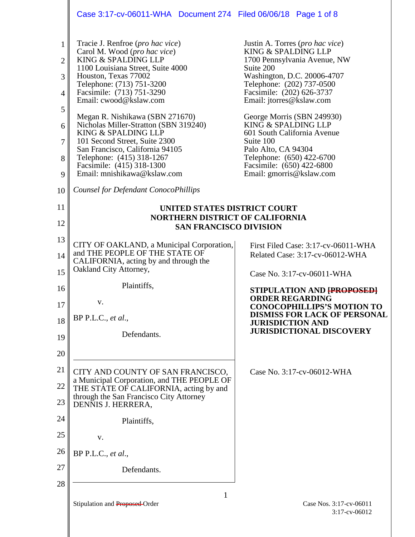|                                                                 | Case 3:17-cv-06011-WHA  Document 274  Filed 06/06/18  Page 1 of 8                                                                                                                                                                                                                                                                                    |                                                                                                                                                                                                                                                                                                              |
|-----------------------------------------------------------------|------------------------------------------------------------------------------------------------------------------------------------------------------------------------------------------------------------------------------------------------------------------------------------------------------------------------------------------------------|--------------------------------------------------------------------------------------------------------------------------------------------------------------------------------------------------------------------------------------------------------------------------------------------------------------|
| $\mathbf{1}$<br>$\overline{2}$<br>3<br>$\overline{4}$<br>5<br>6 | Tracie J. Renfroe ( <i>pro hac vice</i> )<br>Carol M. Wood (pro hac vice)<br>KING & SPALDING LLP<br>1100 Louisiana Street, Suite 4000<br>Houston, Texas 77002<br>Telephone: (713) 751-3200<br>Facsimile: (713) 751-3290<br>Email: cwood@kslaw.com<br>Megan R. Nishikawa (SBN 271670)<br>Nicholas Miller-Stratton (SBN 319240)<br>KING & SPALDING LLP | Justin A. Torres (pro hac vice)<br>KING & SPALDING LLP<br>1700 Pennsylvania Avenue, NW<br>Suite 200<br>Washington, D.C. 20006-4707<br>Telephone: (202) 737-0500<br>Facsimile: (202) 626-3737<br>Email: jtorres@kslaw.com<br>George Morris (SBN 249930)<br>KING & SPALDING LLP<br>601 South California Avenue |
| $\overline{7}$<br>8<br>9                                        | 101 Second Street, Suite 2300<br>San Francisco, California 94105<br>Telephone: (415) 318-1267<br>Facsimile: (415) 318-1300<br>Email: mnishikawa@kslaw.com                                                                                                                                                                                            | Suite 100<br>Palo Alto, CA 94304<br>Telephone: (650) 422-6700<br>Facsimile: (650) 422-6800<br>Email: gmorris@kslaw.com                                                                                                                                                                                       |
| 10                                                              | Counsel for Defendant ConocoPhillips                                                                                                                                                                                                                                                                                                                 |                                                                                                                                                                                                                                                                                                              |
| 11                                                              | UNITED STATES DISTRICT COURT                                                                                                                                                                                                                                                                                                                         |                                                                                                                                                                                                                                                                                                              |
| 12                                                              | <b>NORTHERN DISTRICT OF CALIFORNIA</b><br><b>SAN FRANCISCO DIVISION</b>                                                                                                                                                                                                                                                                              |                                                                                                                                                                                                                                                                                                              |
| 13                                                              | CITY OF OAKLAND, a Municipal Corporation,                                                                                                                                                                                                                                                                                                            | First Filed Case: 3:17-cv-06011-WHA                                                                                                                                                                                                                                                                          |
| 14                                                              | and THE PEOPLE OF THE STATE OF<br>CALIFORNIA, acting by and through the                                                                                                                                                                                                                                                                              | Related Case: 3:17-cv-06012-WHA                                                                                                                                                                                                                                                                              |
| 15                                                              | Oakland City Attorney,                                                                                                                                                                                                                                                                                                                               | Case No. 3:17-cv-06011-WHA                                                                                                                                                                                                                                                                                   |
| 16                                                              | Plaintiffs,                                                                                                                                                                                                                                                                                                                                          | STIPULATION AND FPROPOSED<br><b>ORDER REGARDING</b>                                                                                                                                                                                                                                                          |
| 17<br>18                                                        | V.<br>BP P.L.C., et al.,                                                                                                                                                                                                                                                                                                                             | <b>CONOCOPHILLIPS'S MOTION TO</b><br><b>DISMISS FOR LACK OF PERSONAL</b><br><b>JURISDICTION AND</b>                                                                                                                                                                                                          |
| 19                                                              | Defendants.                                                                                                                                                                                                                                                                                                                                          | <b>JURISDICTIONAL DISCOVERY</b>                                                                                                                                                                                                                                                                              |
| 20                                                              |                                                                                                                                                                                                                                                                                                                                                      |                                                                                                                                                                                                                                                                                                              |
| 21                                                              | CITY AND COUNTY OF SAN FRANCISCO,                                                                                                                                                                                                                                                                                                                    | Case No. 3:17-cv-06012-WHA                                                                                                                                                                                                                                                                                   |
| 22                                                              | a Municipal Corporation, and THE PEOPLE OF<br>THE STATE OF CALIFORNIA, acting by and                                                                                                                                                                                                                                                                 |                                                                                                                                                                                                                                                                                                              |
| 23                                                              | through the San Francisco City Attorney<br>DENNIS J. HERRERA,                                                                                                                                                                                                                                                                                        |                                                                                                                                                                                                                                                                                                              |
| 24                                                              | Plaintiffs,                                                                                                                                                                                                                                                                                                                                          |                                                                                                                                                                                                                                                                                                              |
| 25                                                              | V.                                                                                                                                                                                                                                                                                                                                                   |                                                                                                                                                                                                                                                                                                              |
| 26                                                              | BP P.L.C., et al.,                                                                                                                                                                                                                                                                                                                                   |                                                                                                                                                                                                                                                                                                              |
| 27                                                              | Defendants.                                                                                                                                                                                                                                                                                                                                          |                                                                                                                                                                                                                                                                                                              |
| 28                                                              |                                                                                                                                                                                                                                                                                                                                                      |                                                                                                                                                                                                                                                                                                              |
|                                                                 | 1<br>Stipulation and Proposed-Order                                                                                                                                                                                                                                                                                                                  | Case Nos. 3:17-cv-06011                                                                                                                                                                                                                                                                                      |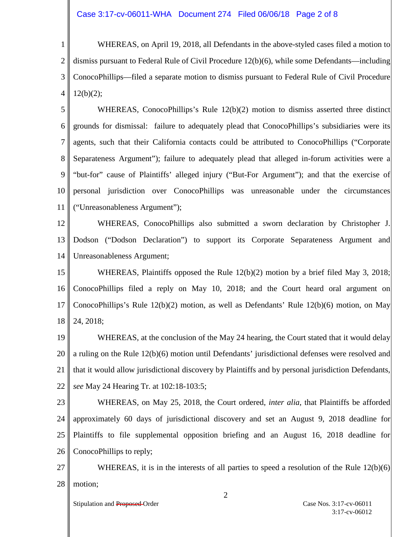1 2 3 4 WHEREAS, on April 19, 2018, all Defendants in the above-styled cases filed a motion to dismiss pursuant to Federal Rule of Civil Procedure 12(b)(6), while some Defendants—including ConocoPhillips—filed a separate motion to dismiss pursuant to Federal Rule of Civil Procedure  $12(b)(2)$ ;

5 6 7 8 9 10 11 WHEREAS, ConocoPhillips's Rule 12(b)(2) motion to dismiss asserted three distinct grounds for dismissal: failure to adequately plead that ConocoPhillips's subsidiaries were its agents, such that their California contacts could be attributed to ConocoPhillips ("Corporate Separateness Argument"); failure to adequately plead that alleged in-forum activities were a "but-for" cause of Plaintiffs' alleged injury ("But-For Argument"); and that the exercise of personal jurisdiction over ConocoPhillips was unreasonable under the circumstances ("Unreasonableness Argument");

12 13 14 WHEREAS, ConocoPhillips also submitted a sworn declaration by Christopher J. Dodson ("Dodson Declaration") to support its Corporate Separateness Argument and Unreasonableness Argument;

15 16 17 18 WHEREAS, Plaintiffs opposed the Rule 12(b)(2) motion by a brief filed May 3, 2018; ConocoPhillips filed a reply on May 10, 2018; and the Court heard oral argument on ConocoPhillips's Rule 12(b)(2) motion, as well as Defendants' Rule 12(b)(6) motion, on May 24, 2018;

19 20 21 22 WHEREAS, at the conclusion of the May 24 hearing, the Court stated that it would delay a ruling on the Rule 12(b)(6) motion until Defendants' jurisdictional defenses were resolved and that it would allow jurisdictional discovery by Plaintiffs and by personal jurisdiction Defendants, *see* May 24 Hearing Tr. at 102:18-103:5;

23 24 25 26 WHEREAS, on May 25, 2018, the Court ordered, *inter alia*, that Plaintiffs be afforded approximately 60 days of jurisdictional discovery and set an August 9, 2018 deadline for Plaintiffs to file supplemental opposition briefing and an August 16, 2018 deadline for ConocoPhillips to reply;

27 28 WHEREAS, it is in the interests of all parties to speed a resolution of the Rule  $12(b)(6)$ motion;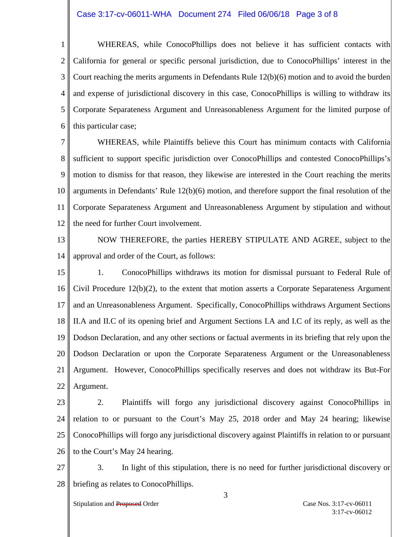## Case 3:17-cv-06011-WHA Document 274 Filed 06/06/18 Page 3 of 8

1 2 3 4 5 6 WHEREAS, while ConocoPhillips does not believe it has sufficient contacts with California for general or specific personal jurisdiction, due to ConocoPhillips' interest in the Court reaching the merits arguments in Defendants Rule 12(b)(6) motion and to avoid the burden and expense of jurisdictional discovery in this case, ConocoPhillips is willing to withdraw its Corporate Separateness Argument and Unreasonableness Argument for the limited purpose of this particular case;

7 8 9 10 11 12 WHEREAS, while Plaintiffs believe this Court has minimum contacts with California sufficient to support specific jurisdiction over ConocoPhillips and contested ConocoPhillips's motion to dismiss for that reason, they likewise are interested in the Court reaching the merits arguments in Defendants' Rule 12(b)(6) motion, and therefore support the final resolution of the Corporate Separateness Argument and Unreasonableness Argument by stipulation and without the need for further Court involvement.

- 13 14 NOW THEREFORE, the parties HEREBY STIPULATE AND AGREE, subject to the approval and order of the Court, as follows:
- 15 16 17 18 19 20 21 22 1. ConocoPhillips withdraws its motion for dismissal pursuant to Federal Rule of Civil Procedure 12(b)(2), to the extent that motion asserts a Corporate Separateness Argument and an Unreasonableness Argument. Specifically, ConocoPhillips withdraws Argument Sections II.A and II.C of its opening brief and Argument Sections I.A and I.C of its reply, as well as the Dodson Declaration, and any other sections or factual averments in its briefing that rely upon the Dodson Declaration or upon the Corporate Separateness Argument or the Unreasonableness Argument. However, ConocoPhillips specifically reserves and does not withdraw its But-For Argument.
- 23 24 25 26 2. Plaintiffs will forgo any jurisdictional discovery against ConocoPhillips in relation to or pursuant to the Court's May 25, 2018 order and May 24 hearing; likewise ConocoPhillips will forgo any jurisdictional discovery against Plaintiffs in relation to or pursuant to the Court's May 24 hearing.
- 27 28 3. In light of this stipulation, there is no need for further jurisdictional discovery or briefing as relates to ConocoPhillips.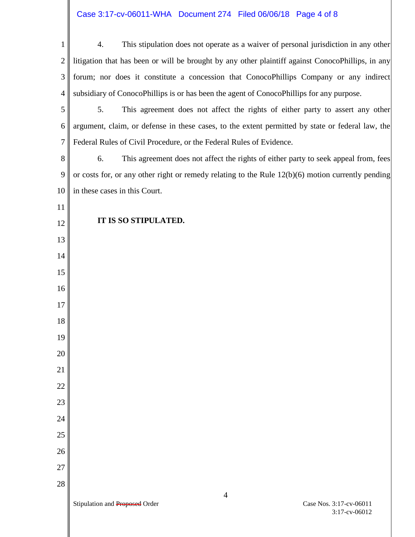## Case 3:17-cv-06011-WHA Document 274 Filed 06/06/18 Page 4 of 8

| 1              | This stipulation does not operate as a waiver of personal jurisdiction in any other<br>4.           |
|----------------|-----------------------------------------------------------------------------------------------------|
|                |                                                                                                     |
| $\overline{2}$ | litigation that has been or will be brought by any other plaintiff against ConocoPhillips, in any   |
| 3              | forum; nor does it constitute a concession that ConocoPhillips Company or any indirect              |
| $\overline{4}$ | subsidiary of ConocoPhillips is or has been the agent of ConocoPhillips for any purpose.            |
| 5              | 5.<br>This agreement does not affect the rights of either party to assert any other                 |
| 6              | argument, claim, or defense in these cases, to the extent permitted by state or federal law, the    |
| 7              | Federal Rules of Civil Procedure, or the Federal Rules of Evidence.                                 |
| 8              | This agreement does not affect the rights of either party to seek appeal from, fees<br>6.           |
| 9              | or costs for, or any other right or remedy relating to the Rule $12(b)(6)$ motion currently pending |
| 10             | in these cases in this Court.                                                                       |
| 11             |                                                                                                     |
| 12             | IT IS SO STIPULATED.                                                                                |
| 13             |                                                                                                     |
| 14             |                                                                                                     |
| 15             |                                                                                                     |
| 16             |                                                                                                     |
| 17             |                                                                                                     |
| 18             |                                                                                                     |
| 19             |                                                                                                     |
| 20             |                                                                                                     |
| 21             |                                                                                                     |
| 22             |                                                                                                     |
| 23             |                                                                                                     |
| 24             |                                                                                                     |
|                |                                                                                                     |
| 25             |                                                                                                     |
| 26             |                                                                                                     |
| 27             |                                                                                                     |
| 28             | $\overline{4}$                                                                                      |
|                | Case Nos. 3:17-cv-06011<br>Stipulation and Proposed Order<br>3:17-cv-06012                          |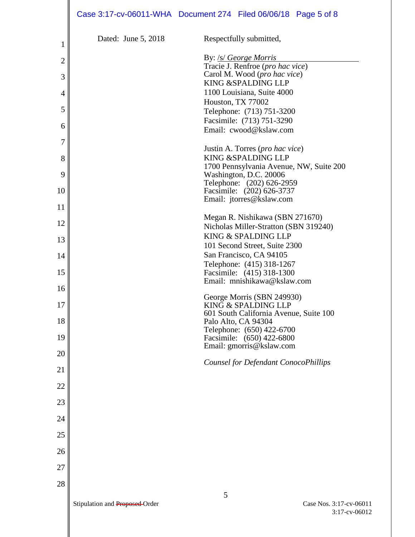|                |                                | Case 3:17-cv-06011-WHA Document 274 Filed 06/06/18 Page 5 of 8           |
|----------------|--------------------------------|--------------------------------------------------------------------------|
| 1              | Dated: June 5, 2018            | Respectfully submitted,                                                  |
|                |                                | By: /s/ George Morris                                                    |
| $\overline{c}$ |                                | Tracie J. Renfroe (pro hac vice)                                         |
| 3              |                                | Carol M. Wood (pro hac vice)<br>KING & SPALDING LLP                      |
| 4              |                                | 1100 Louisiana, Suite 4000<br>Houston, TX 77002                          |
| 5              |                                | Telephone: (713) 751-3200                                                |
| 6              |                                | Facsimile: (713) 751-3290<br>Email: cwood@kslaw.com                      |
| 7              |                                |                                                                          |
| 8              |                                | Justin A. Torres (pro hac vice)<br>KING & SPALDING LLP                   |
|                |                                | 1700 Pennsylvania Avenue, NW, Suite 200                                  |
| 9              |                                | Washington, D.C. 20006<br>Telephone: (202) 626-2959                      |
| 10             |                                | Facsimile: (202) 626-3737<br>Email: jtorres@kslaw.com                    |
| 11             |                                |                                                                          |
| 12             |                                | Megan R. Nishikawa (SBN 271670)<br>Nicholas Miller-Stratton (SBN 319240) |
| 13             |                                | KING & SPALDING LLP                                                      |
| 14             |                                | 101 Second Street, Suite 2300<br>San Francisco, CA 94105                 |
|                |                                | Telephone: (415) 318-1267                                                |
| 15             |                                | Facsimile: (415) 318-1300<br>Email: mnishikawa@kslaw.com                 |
| 16             |                                | George Morris (SBN 249930)                                               |
| 17             |                                | KING & SPALDING LLP<br>601 South California Avenue, Suite 100            |
| 18             |                                | Palo Alto, CA 94304                                                      |
| 19             |                                | Telephone: (650) 422-6700<br>Facsimile: (650) 422-6800                   |
| 20             |                                | Email: gmorris@kslaw.com                                                 |
| 21             |                                | Counsel for Defendant ConocoPhillips                                     |
| 22             |                                |                                                                          |
|                |                                |                                                                          |
| 23             |                                |                                                                          |
| 24             |                                |                                                                          |
| 25             |                                |                                                                          |
| 26             |                                |                                                                          |
| 27             |                                |                                                                          |
| 28             |                                |                                                                          |
|                |                                | 5                                                                        |
|                | Stipulation and Proposed-Order | Case Nos. 3:17-cv-06011                                                  |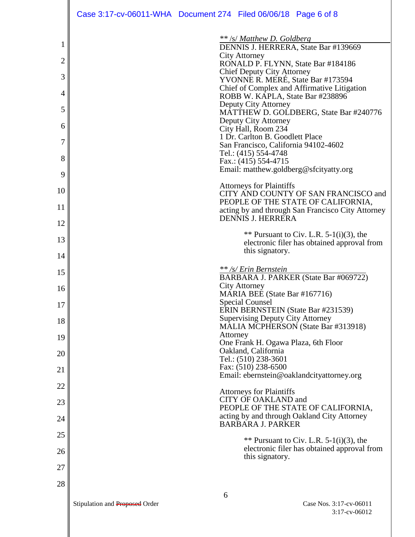|    | Case 3:17-cv-06011-WHA  Document 274  Filed 06/06/18  Page 6 of 8                         |
|----|-------------------------------------------------------------------------------------------|
|    | ** /s/ Matthew D. Goldberg                                                                |
|    | DENNIS J. HERRERA, State Bar #139669<br><b>City Attorney</b>                              |
| 2  | RONALD P. FLYNN, State Bar #184186<br><b>Chief Deputy City Attorney</b>                   |
| 3  | YVONNE R. MERÉ, State Bar #173594<br>Chief of Complex and Affirmative Litigation          |
| 4  | ROBB W. KAPLA, State Bar #238896                                                          |
| 5  | Deputy City Attorney<br>MATTHEW D. GOLDBERG, State Bar #240776                            |
| 6  | Deputy City Attorney<br>City Hall, Room 234                                               |
| 7  | 1 Dr. Carlton B. Goodlett Place<br>San Francisco, California 94102-4602                   |
| 8  | Tel.: (415) 554-4748<br>Fax.: (415) 554-4715                                              |
| 9  | Email: matthew.goldberg@sfcityatty.org                                                    |
| 10 | <b>Attorneys for Plaintiffs</b><br>CITY AND COUNTY OF SAN FRANCISCO and                   |
| 11 | PEOPLE OF THE STATE OF CALIFORNIA,<br>acting by and through San Francisco City Attorney   |
| 12 | DENNIS J. HERRERA                                                                         |
| 13 | ** Pursuant to Civ. L.R. $5-1(i)(3)$ , the<br>electronic filer has obtained approval from |
| 14 | this signatory.                                                                           |
| 15 | ** /s/ Erin Bernstein                                                                     |
| 16 | BARBARA J. PARKER (State Bar #069722)<br><b>City Attorney</b>                             |
| 17 | MARIA BEE (State Bar #167716)<br><b>Special Counsel</b>                                   |
| 18 | ERIN BERNSTEIN (State Bar #231539)<br><b>Supervising Deputy City Attorney</b>             |
| 19 | MALIA MCPHERSON (State Bar #313918)<br>Attorney                                           |
| 20 | One Frank H. Ogawa Plaza, 6th Floor<br>Oakland, California                                |
| 21 | Tel.: (510) 238-3601<br>Fax: (510) 238-6500                                               |
|    | Email: ebernstein@oaklandcityattorney.org                                                 |
| 22 | <b>Attorneys for Plaintiffs</b><br><b>CITY OF OAKLAND and</b>                             |
| 23 | PEOPLE OF THE STATE OF CALIFORNIA,<br>acting by and through Oakland City Attorney         |
| 24 | <b>BARBARA J. PARKER</b>                                                                  |
| 25 | ** Pursuant to Civ. L.R. $5-1(i)(3)$ , the<br>electronic filer has obtained approval from |
| 26 | this signatory.                                                                           |
| 27 |                                                                                           |
| 28 | 6                                                                                         |
|    | Stipulation and Proposed Order<br>Case Nos. 3:17-cv-06011                                 |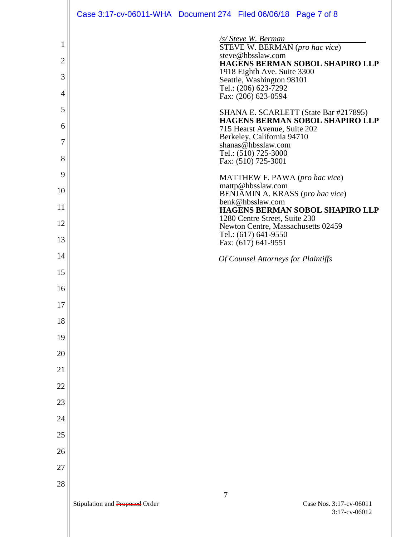|                     |                                | Case 3:17-cv-06011-WHA Document 274 Filed 06/06/18 Page 7 of 8                                                |
|---------------------|--------------------------------|---------------------------------------------------------------------------------------------------------------|
| 1<br>$\overline{c}$ |                                | /s/ Steve W. Berman<br>STEVE W. BERMAN (pro hac vice)<br>steve@hbsslaw.com<br>HAGENS BERMAN SOBOL SHAPIRO LLP |
| 3                   |                                | 1918 Eighth Ave. Suite 3300                                                                                   |
| 4                   |                                | Seattle, Washington 98101<br>Tel.: (206) 623-7292<br>Fax: (206) 623-0594                                      |
| 5                   |                                | SHANA E. SCARLETT (State Bar #217895)                                                                         |
| 6                   |                                | HAGENS BERMAN SOBOL SHAPIRO LLP<br>715 Hearst Avenue, Suite 202                                               |
| 7                   |                                | Berkeley, California 94710<br>shanas@hbsslaw.com                                                              |
| 8                   |                                | Tel.: (510) 725-3000<br>Fax: (510) 725-3001                                                                   |
| 9                   |                                | MATTHEW F. PAWA (pro hac vice)<br>mattp@hbsslaw.com                                                           |
| 10                  |                                | BENJAMIN A. KRASS (pro hac vice)<br>benk@hbsslaw.com                                                          |
| 11                  |                                | HAGENS BERMAN SOBOL SHAPIRO LLP<br>1280 Centre Street, Suite 230                                              |
| 12                  |                                | Newton Centre, Massachusetts 02459<br>Tel.: (617) 641-9550                                                    |
| 13                  |                                | Fax: (617) 641-9551                                                                                           |
| 14                  |                                | Of Counsel Attorneys for Plaintiffs                                                                           |
| 15                  |                                |                                                                                                               |
| 16<br>17            |                                |                                                                                                               |
| 18                  |                                |                                                                                                               |
| 19                  |                                |                                                                                                               |
| 20                  |                                |                                                                                                               |
| 21                  |                                |                                                                                                               |
| 22                  |                                |                                                                                                               |
| 23                  |                                |                                                                                                               |
| 24                  |                                |                                                                                                               |
| 25                  |                                |                                                                                                               |
| 26                  |                                |                                                                                                               |
| 27                  |                                |                                                                                                               |
| 28                  |                                |                                                                                                               |
|                     | Stipulation and Proposed Order | 7<br>Case Nos. 3:17-cv-06011<br>3:17-cv-06012                                                                 |